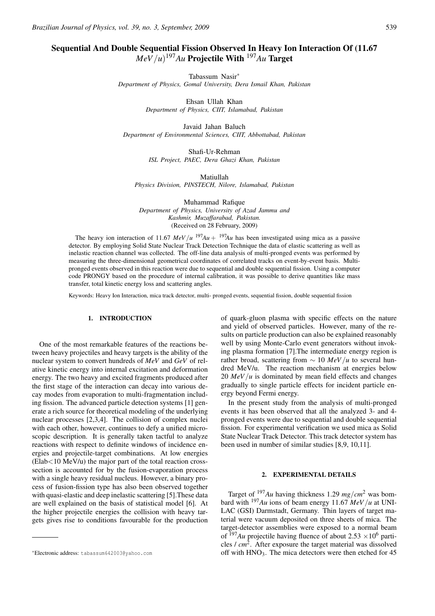# Sequential And Double Sequential Fission Observed In Heavy Ion Interaction Of (11.67  $MeV/u$ <sup>197</sup>*Au* Projectile With <sup>197</sup>*Au* Target

Tabassum Nasir∗

*Department of Physics, Gomal University, Dera Ismail Khan, Pakistan*

Ehsan Ullah Khan *Department of Physics, CIIT, Islamabad, Pakistan*

Javaid Jahan Baluch *Department of Environmental Sciences, CIIT, Abbottabad, Pakistan*

> Shafi-Ur-Rehman *ISL Project, PAEC, Dera Ghazi Khan, Pakistan*

> > Matiullah

*Physics Division, PINSTECH, Nilore, Islamabad, Pakistan*

Muhammad Rafique *Department of Physics, University of Azad Jammu and Kashmir, Muzaffarabad, Pakistan.* (Received on 28 February, 2009)

The heavy ion interaction of 11.67  $MeV/u$  <sup>197</sup>*Au* + <sup>197</sup>*Au* has been investigated using mica as a passive detector. By employing Solid State Nuclear Track Detection Technique the data of elastic scattering as well as inelastic reaction channel was collected. The off-line data analysis of multi-pronged events was performed by measuring the three-dimensional geometrical coordinates of correlated tracks on event-by-event basis. Multipronged events observed in this reaction were due to sequential and double sequential fission. Using a computer code PRONGY based on the procedure of internal calibration, it was possible to derive quantities like mass transfer, total kinetic energy loss and scattering angles.

Keywords: Heavy Ion Interaction, mica track detector, multi- pronged events, sequential fission, double sequential fission

# 1. INTRODUCTION

One of the most remarkable features of the reactions between heavy projectiles and heavy targets is the ability of the nuclear system to convert hundreds of *MeV* and *GeV* of relative kinetic energy into internal excitation and deformation energy. The two heavy and excited fragments produced after the first stage of the interaction can decay into various decay modes from evaporation to multi-fragmentation including fission. The advanced particle detection systems [1] generate a rich source for theoretical modeling of the underlying nuclear processes [2,3,4]. The collision of complex nuclei with each other, however, continues to defy a unified microscopic description. It is generally taken tactful to analyze reactions with respect to definite windows of incidence energies and projectile-target combinations. At low energies  $(Elab<10 \text{ MeV/u})$  the major part of the total reaction crosssection is accounted for by the fusion-evaporation process with a single heavy residual nucleus. However, a binary process of fusion-fission type has also been observed together with quasi-elastic and deep inelastic scattering [5].These data are well explained on the basis of statistical model [6]. At the higher projectile energies the collision with heavy targets gives rise to conditions favourable for the production of quark-gluon plasma with specific effects on the nature and yield of observed particles. However, many of the results on particle production can also be explained reasonably well by using Monte-Carlo event generators without invoking plasma formation [7].The intermediate energy region is rather broad, scattering from  $\sim$  10 *MeV*/*u* to several hundred MeV/u. The reaction mechanism at energies below 20 *MeV*/*u* is dominated by mean field effects and changes gradually to single particle effects for incident particle energy beyond Fermi energy.

In the present study from the analysis of multi-pronged events it has been observed that all the analyzed 3- and 4 pronged events were due to sequential and double sequential fission. For experimental verification we used mica as Solid State Nuclear Track Detector. This track detector system has been used in number of similar studies [8,9, 10,11].

## 2. EXPERIMENTAL DETAILS

Target of <sup>197</sup>*Au* having thickness 1.29 *mg*/*cm*<sup>2</sup> was bombard with <sup>197</sup>*Au* ions of beam energy 11.67 *MeV*/*u* at UNI-LAC (GSI) Darmstadt, Germany. Thin layers of target material were vacuum deposited on three sheets of mica. The target-detector assemblies were exposed to a normal beam of  $197Au$  projectile having fluence of about 2.53  $\times 10^6$  particles / *cm*2. After exposure the target material was dissolved off with  $HNO<sub>3</sub>$ . The mica detectors were then etched for 45

<sup>∗</sup>Electronic address: tabassum642003@yahoo.com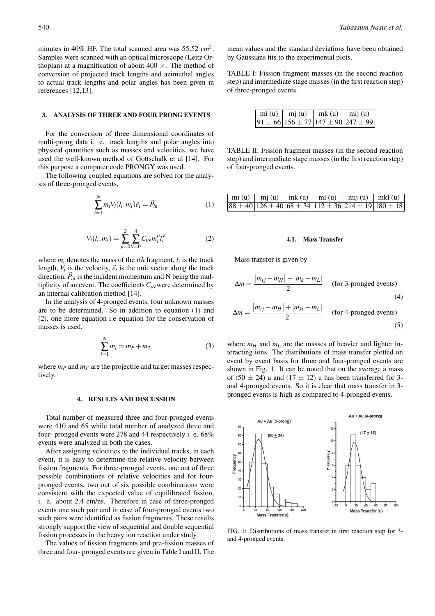minutes in 40% HF. The total scanned area was 55.52 *cm*2. Samples were scanned with an optical microscope (Leitz Orthoplan) at a magnification of about  $400 \times$ . The method of conversion of projected track lengths and azimuthal angles to actual track lengths and polar angles has been given in references [12,13].

# 3. ANALYSIS OF THREE AND FOUR PRONG EVENTS

For the conversion of three dimensional coordinates of multi-prong data i. e. track lengths and polar angles into physical quantities such as masses and velocities, we have used the well-known method of Gottschalk et al [14]. For this purpose a computer code PRONGY was used.

The following coupled equations are solved for the analysis of three-pronged events,

$$
\sum_{i=1}^{N} m_i V_i(l_i, m_i) \hat{e}_i = \vec{P}_{in}
$$
 (1)

$$
V_i(l_i, m_i) = \sum_{\mu=0}^{2} \sum_{\nu=0}^{4} C_{\mu\nu} m_i^{\mu} l_i^{\nu}
$$
 (2)

where  $m_i$  denotes the mass of the *ith* fragment,  $l_i$  is the track length,  $V_i$  is the velocity,  $\vec{e}_i$  is the unit vector along the track direction,  $\vec{P}_{in}$  is the incident momentum and N being the multiplicity of an event. The coefficients *Cµ*νwere determined by an internal calibration method [14].

In the analysis of 4-pronged events, four unknown masses are to be determined. So in addition to equation (1) and (2), one more equation i.e equation for the conservation of masses is used.

$$
\sum_{i=1}^{N} m_i = m_P + m_T \tag{3}
$$

where  $m_P$  and  $m_T$  are the projectile and target masses respectively.

## 4. RESULTS AND DISCUSSION

Total number of measured three and four-pronged events were 410 and 65 while total number of analyzed three and four- pronged events were 278 and 44 respectively i. e. 68% events were analyzed in both the cases.

After assigning velocities to the individual tracks, in each event, it is easy to determine the relative velocity between fission fragments. For three-pronged events, one out of three possible combinations of relative velocities and for fourpronged events, two out of six possible combinations were consistent with the expected value of equilibrated fission, i. e. about 2.4 cm/ns. Therefore in case of three-pronged events one such pair and in case of four-pronged events two such pairs were identified as fission fragments. These results strongly support the view of sequential and double sequential fission processes in the heavy ion reaction under study.

The values of fission fragments and pre-fission masses of three and four- pronged events are given in Table I and II. The mean values and the standard deviations have been obtained by Gaussians fits to the experimental plots.

TABLE I: Fission fragment masses (in the second reaction step) and intermediate stage masses (in the first reaction step) of three-pronged events.

| $mi(u)$ $mj(u)$                                    | mk(u) | $\lim_{u \to 0}$ |
|----------------------------------------------------|-------|------------------|
| $91 \pm 66$ 156 $\pm 77$ 147 $\pm 90$ 247 $\pm 99$ |       |                  |

TABLE II: Fission fragment masses (in the second reaction step) and intermediate stage masses (in the first reaction step) of four-pronged events.

| $\boxed{\text{mi}(\text{u}) \mid \text{mj}(\text{u}) \mid \text{mk}(\text{u}) \mid \text{ml}(\text{u}) \mid \text{mij}(\text{u}) \mid \text{mkl}(\text{u})}$ |  |                                                          |
|--------------------------------------------------------------------------------------------------------------------------------------------------------------|--|----------------------------------------------------------|
|                                                                                                                                                              |  | $88 \pm 40$  126 ± 40 68 ± 34 112 ± 36 214 ± 19 180 ± 18 |

#### 4.1. Mass Transfer

Mass transfer is given by

$$
\Delta m = \frac{|m_{ij} - m_H| + |m_k - m_L|}{2}
$$
 (for 3-pronged events) (4)

$$
\Delta m = \frac{|m_{ij} - m_H| + |m_{kl} - m_L|}{2}
$$
 (for 4-pronged events) (5)

where  $m_H$  and  $m_L$  are the masses of heavier and lighter interacting ions. The distributions of mass transfer plotted on event by event basis for three and four-pronged events are shown in Fig. 1. It can be noted that on the average a mass of (50  $\pm$  24) u and (17  $\pm$  12) u has been transferred for 3and 4-pronged events. So it is clear that mass transfer in 3 pronged events is high as compared to 4-pronged events.



FIG. 1: Distributions of mass transfer in first reaction step for 3 and 4-pronged events.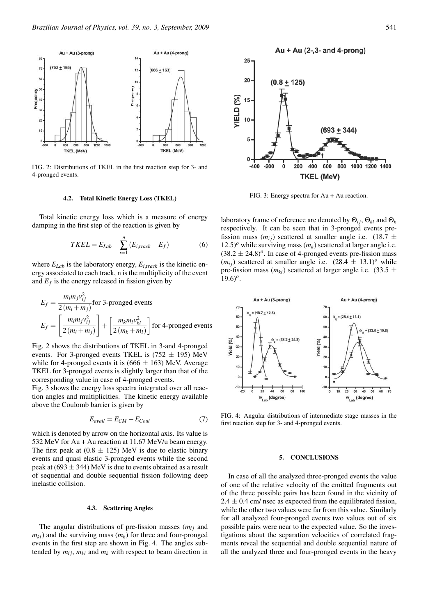

FIG. 2: Distributions of TKEL in the first reaction step for 3- and 4-pronged events.

#### 4.2. Total Kinetic Energy Loss (TKEL)

Total kinetic energy loss which is a measure of energy damping in the first step of the reaction is given by

$$
TKEL = E_{Lab} - \sum_{i=1}^{n} \left( E_{i,track} - E_f \right) \tag{6}
$$

where  $E_{Lab}$  is the laboratory energy,  $E_{i,track}$  is the kinetic energy associated to each track, n is the multiplicity of the event and  $E_f$  is the energy released in fission given by

$$
E_f = \frac{m_i m_j v_{ij}^2}{2(m_i + m_j)}
$$
 for 3-pronged events  

$$
E_f = \left[\frac{m_i m_j v_{ij}^2}{2(m_i + m_j)}\right] + \left[\frac{m_k m_l v_{kl}^2}{2(m_k + m_l)}\right]
$$
 for 4-pronged events

Fig. 2 shows the distributions of TKEL in 3-and 4-pronged events. For 3-pronged events TKEL is  $(752 \pm 195)$  MeV while for 4-pronged events it is  $(666 \pm 163)$  MeV. Average TKEL for 3-pronged events is slightly larger than that of the corresponding value in case of 4-pronged events.

Fig. 3 shows the energy loss spectra integrated over all reaction angles and multiplicities. The kinetic energy available above the Coulomb barrier is given by

$$
E_{avail} = E_{CM} - E_{Coul} \tag{7}
$$

which is denoted by arrow on the horizontal axis. Its value is 532 MeV for Au + Au reaction at 11.67 MeV/u beam energy. The first peak at  $(0.8 \pm 125)$  MeV is due to elastic binary events and quasi elastic 3-pronged events while the second peak at  $(693 \pm 344)$  MeV is due to events obtained as a result of sequential and double sequential fission following deep inelastic collision.

#### 4.3. Scattering Angles

The angular distributions of pre-fission masses  $(m_{ij}$  and *mkl*) and the surviving mass (*mk*) for three and four-pronged events in the first step are shown in Fig. 4. The angles subtended by  $m_{ij}$ ,  $m_{kl}$  and  $m_k$  with respect to beam direction in

 $25 -$ 20  $(0.8 + 125)$ YIELD<sub>(%</sub> 15  $10$  $(693 + 344)$ 5 n 200 400 600 800 1000 1200 1400  $-400$  $-200$  $\mathbf 0$ **TKEL (MeV)** 

Au + Au (2-,3- and 4-prong)

FIG. 3: Energy spectra for Au + Au reaction.

laboratory frame of reference are denoted by  $\Theta_{ij}$ ,  $\Theta_{kl}$  and  $\Theta_k$ respectively. It can be seen that in 3-pronged events prefission mass  $(m_{ij})$  scattered at smaller angle i.e. (18.7  $\pm$  $12.5)$ <sup>o</sup> while surviving mass  $(m_k)$  scattered at larger angle i.e.  $(38.2 \pm 24.8)$ <sup>o</sup>. In case of 4-pronged events pre-fission mass  $(m_{ij})$  scattered at smaller angle i.e.  $(28.4 \pm 13.1)$ <sup>o</sup> while pre-fission mass  $(m_{kl})$  scattered at larger angle i.e.  $(33.5 \pm$  $19.6$ <sup>o</sup>.



FIG. 4: Angular distributions of intermediate stage masses in the first reaction step for 3- and 4-pronged events.

#### 5. CONCLUSIONS

In case of all the analyzed three-pronged events the value of one of the relative velocity of the emitted fragments out of the three possible pairs has been found in the vicinity of  $2.4 \pm 0.4$  cm/ nsec as expected from the equilibrated fission, while the other two values were far from this value. Similarly for all analyzed four-pronged events two values out of six possible pairs were near to the expected value. So the investigations about the separation velocities of correlated fragments reveal the sequential and double sequential nature of all the analyzed three and four-pronged events in the heavy